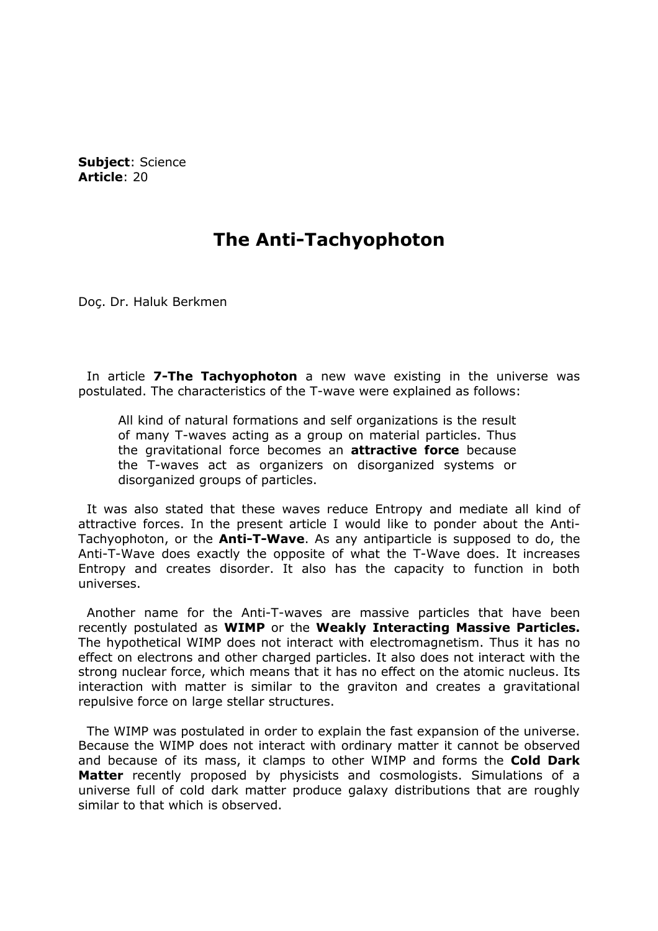Subject: Science Article: 20

## The Anti-Tachyophoton

Doç. Dr. Haluk Berkmen

In article 7-The Tachyophoton a new wave existing in the universe was postulated. The characteristics of the T-wave were explained as follows:

All kind of natural formations and self organizations is the result of many T-waves acting as a group on material particles. Thus the gravitational force becomes an **attractive force** because the T-waves act as organizers on disorganized systems or disorganized groups of particles.

 It was also stated that these waves reduce Entropy and mediate all kind of attractive forces. In the present article I would like to ponder about the Anti-Tachyophoton, or the **Anti-T-Wave**. As any antiparticle is supposed to do, the Anti-T-Wave does exactly the opposite of what the T-Wave does. It increases Entropy and creates disorder. It also has the capacity to function in both universes.

 Another name for the Anti-T-waves are massive particles that have been recently postulated as **WIMP** or the **Weakly Interacting Massive Particles.** The hypothetical WIMP does not interact with electromagnetism. Thus it has no effect on electrons and other charged particles. It also does not interact with the strong nuclear force, which means that it has no effect on the atomic nucleus. Its interaction with matter is similar to the graviton and creates a gravitational repulsive force on large stellar structures.

 The WIMP was postulated in order to explain the fast expansion of the universe. Because the WIMP does not interact with ordinary matter it cannot be observed and because of its mass, it clamps to other WIMP and forms the **Cold Dark** Matter recently proposed by physicists and cosmologists. Simulations of a universe full of cold dark matter produce galaxy distributions that are roughly similar to that which is observed.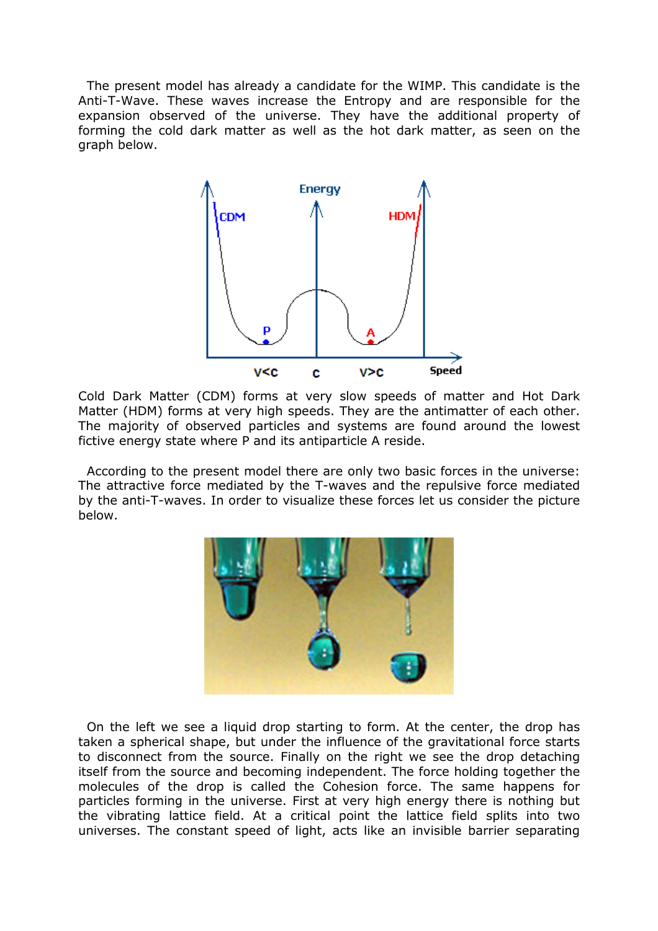The present model has already a candidate for the WIMP. This candidate is the Anti-T-Wave. These waves increase the Entropy and are responsible for the expansion observed of the universe. They have the additional property of forming the cold dark matter as well as the hot dark matter, as seen on the graph below.



Cold Dark Matter (CDM) forms at very slow speeds of matter and Hot Dark Matter (HDM) forms at very high speeds. They are the antimatter of each other. The majority of observed particles and systems are found around the lowest fictive energy state where P and its antiparticle A reside.

 According to the present model there are only two basic forces in the universe: The attractive force mediated by the T-waves and the repulsive force mediated by the anti-T-waves. In order to visualize these forces let us consider the picture below.



 On the left we see a liquid drop starting to form. At the center, the drop has taken a spherical shape, but under the influence of the gravitational force starts to disconnect from the source. Finally on the right we see the drop detaching itself from the source and becoming independent. The force holding together the molecules of the drop is called the Cohesion force. The same happens for particles forming in the universe. First at very high energy there is nothing but the vibrating lattice field. At a critical point the lattice field splits into two universes. The constant speed of light, acts like an invisible barrier separating